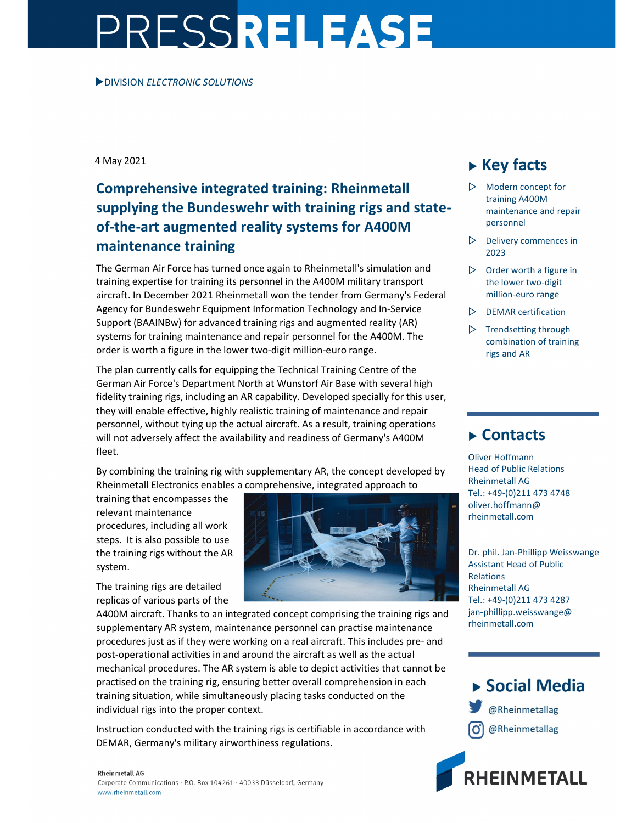# PRESSRELEASE

#### DIVISION ELECTRONIC SOLUTIONS

4 May 2021

## Comprehensive integrated training: Rheinmetall supplying the Bundeswehr with training rigs and stateof-the-art augmented reality systems for A400M maintenance training

The German Air Force has turned once again to Rheinmetall's simulation and training expertise for training its personnel in the A400M military transport aircraft. In December 2021 Rheinmetall won the tender from Germany's Federal Agency for Bundeswehr Equipment Information Technology and In-Service Support (BAAINBw) for advanced training rigs and augmented reality (AR) systems for training maintenance and repair personnel for the A400M. The order is worth a figure in the lower two-digit million-euro range.

The plan currently calls for equipping the Technical Training Centre of the German Air Force's Department North at Wunstorf Air Base with several high fidelity training rigs, including an AR capability. Developed specially for this user, they will enable effective, highly realistic training of maintenance and repair personnel, without tying up the actual aircraft. As a result, training operations will not adversely affect the availability and readiness of Germany's A400M fleet.

By combining the training rig with supplementary AR, the concept developed by Rheinmetall Electronics enables a comprehensive, integrated approach to

training that encompasses the relevant maintenance procedures, including all work steps. It is also possible to use the training rigs without the AR system.

The training rigs are detailed replicas of various parts of the



A400M aircraft. Thanks to an integrated concept comprising the training rigs and supplementary AR system, maintenance personnel can practise maintenance procedures just as if they were working on a real aircraft. This includes pre- and post-operational activities in and around the aircraft as well as the actual mechanical procedures. The AR system is able to depict activities that cannot be practised on the training rig, ensuring better overall comprehension in each training situation, while simultaneously placing tasks conducted on the individual rigs into the proper context.

Instruction conducted with the training rigs is certifiable in accordance with DEMAR, Germany's military airworthiness regulations.

#### **Rheinmetall AG**

Corporate Communications · P.O. Box 104261 · 40033 Düsseldorf, Germany www.rheinmetall.com

## $\triangleright$  Key facts

- $\triangleright$  Modern concept for training A400M maintenance and repair personnel
- $\triangleright$  Delivery commences in 2023
- $\triangleright$  Order worth a figure in the lower two-digit million-euro range
- $\triangleright$  DEMAR certification
- $\triangleright$  Trendsetting through combination of training rigs and AR

### **► Contacts**

Oliver Hoffmann Head of Public Relations Rheinmetall AG Tel.: +49-(0)211 473 4748 oliver.hoffmann@ rheinmetall.com

Dr. phil. Jan-Phillipp Weisswange Assistant Head of Public Relations Rheinmetall AG Tel.: +49-(0)211 473 4287 jan-phillipp.weisswange@ rheinmetall.com

## ▶ Social Media

@Rheinmetallag @Rheinmetallag